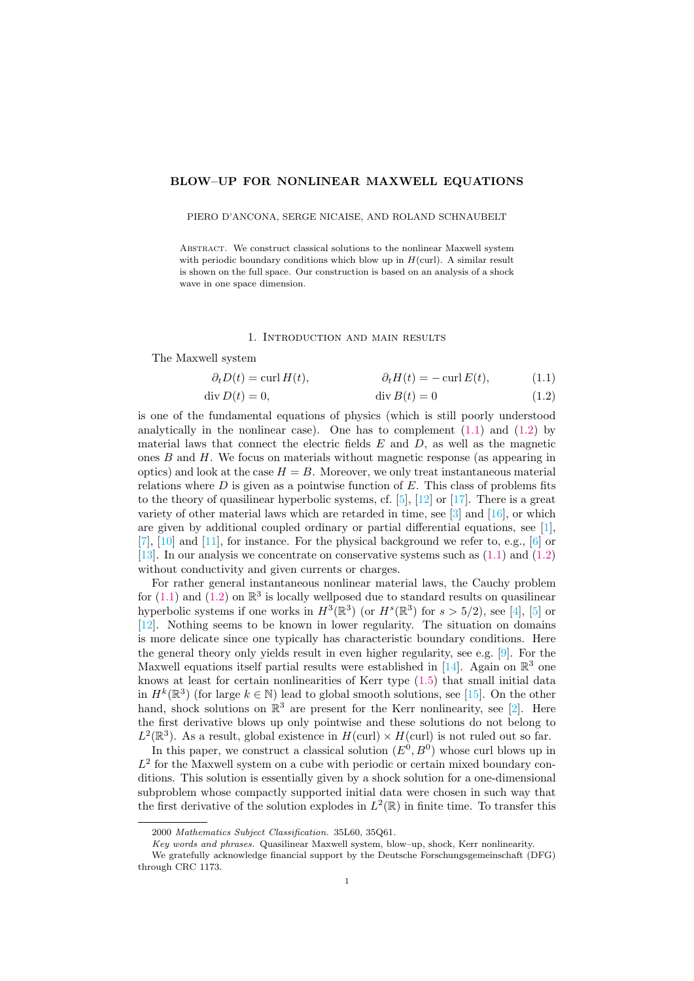## BLOW–UP FOR NONLINEAR MAXWELL EQUATIONS

#### PIERO D'ANCONA, SERGE NICAISE, AND ROLAND SCHNAUBELT

ABSTRACT. We construct classical solutions to the nonlinear Maxwell system with periodic boundary conditions which blow up in  $H(\text{curl})$ . A similar result is shown on the full space. Our construction is based on an analysis of a shock wave in one space dimension.

### <span id="page-0-1"></span><span id="page-0-0"></span>1. Introduction and main results

The Maxwell system

$$
\partial_t D(t) = \operatorname{curl} H(t), \qquad \partial_t H(t) = -\operatorname{curl} E(t), \qquad (1.1)
$$

$$
\operatorname{div} D(t) = 0,\qquad \qquad \operatorname{div} B(t) = 0 \tag{1.2}
$$

is one of the fundamental equations of physics (which is still poorly understood analytically in the nonlinear case). One has to complement  $(1.1)$  and  $(1.2)$  by material laws that connect the electric fields  $E$  and  $D$ , as well as the magnetic ones  $B$  and  $H$ . We focus on materials without magnetic response (as appearing in optics) and look at the case  $H = B$ . Moreover, we only treat instantaneous material relations where  $D$  is given as a pointwise function of  $E$ . This class of problems fits to the theory of quasilinear hyperbolic systems, cf.  $[5]$ ,  $[12]$  or  $[17]$ . There is a great variety of other material laws which are retarded in time, see [\[3\]](#page-7-2) and [\[16\]](#page-7-3), or which are given by additional coupled ordinary or partial differential equations, see [\[1\]](#page-7-4),  $[7]$ ,  $[10]$  and  $[11]$ , for instance. For the physical background we refer to, e.g.,  $[6]$  or [\[13\]](#page-7-9). In our analysis we concentrate on conservative systems such as [\(1.1\)](#page-0-0) and [\(1.2\)](#page-0-1) without conductivity and given currents or charges.

For rather general instantaneous nonlinear material laws, the Cauchy problem for  $(1.1)$  and  $(1.2)$  on  $\mathbb{R}^3$  is locally wellposed due to standard results on quasilinear hyperbolic systems if one works in  $H^3(\mathbb{R}^3)$  (or  $H^s(\mathbb{R}^3)$  for  $s > 5/2$ ), see [\[4\]](#page-7-10), [\[5\]](#page-7-0) or [\[12\]](#page-7-1). Nothing seems to be known in lower regularity. The situation on domains is more delicate since one typically has characteristic boundary conditions. Here the general theory only yields result in even higher regularity, see e.g. [\[9\]](#page-7-11). For the Maxwell equations itself partial results were established in [\[14\]](#page-7-12). Again on  $\mathbb{R}^3$  one knows at least for certain nonlinearities of Kerr type [\(1.5\)](#page-1-0) that small initial data in  $H^k(\mathbb{R}^3)$  (for large  $k \in \mathbb{N}$ ) lead to global smooth solutions, see [\[15\]](#page-7-13). On the other hand, shock solutions on  $\mathbb{R}^3$  are present for the Kerr nonlinearity, see [\[2\]](#page-7-14). Here the first derivative blows up only pointwise and these solutions do not belong to  $L^2(\mathbb{R}^3)$ . As a result, global existence in  $H(\text{curl}) \times H(\text{curl})$  is not ruled out so far.

In this paper, we construct a classical solution  $(E^0, B^0)$  whose curl blows up in  $L<sup>2</sup>$  for the Maxwell system on a cube with periodic or certain mixed boundary conditions. This solution is essentially given by a shock solution for a one-dimensional subproblem whose compactly supported initial data were chosen in such way that the first derivative of the solution explodes in  $L^2(\mathbb{R})$  in finite time. To transfer this

<sup>2000</sup> Mathematics Subject Classification. 35L60, 35Q61.

Key words and phrases. Quasilinear Maxwell system, blow–up, shock, Kerr nonlinearity.

We gratefully acknowledge financial support by the Deutsche Forschungsgemeinschaft (DFG) through CRC 1173.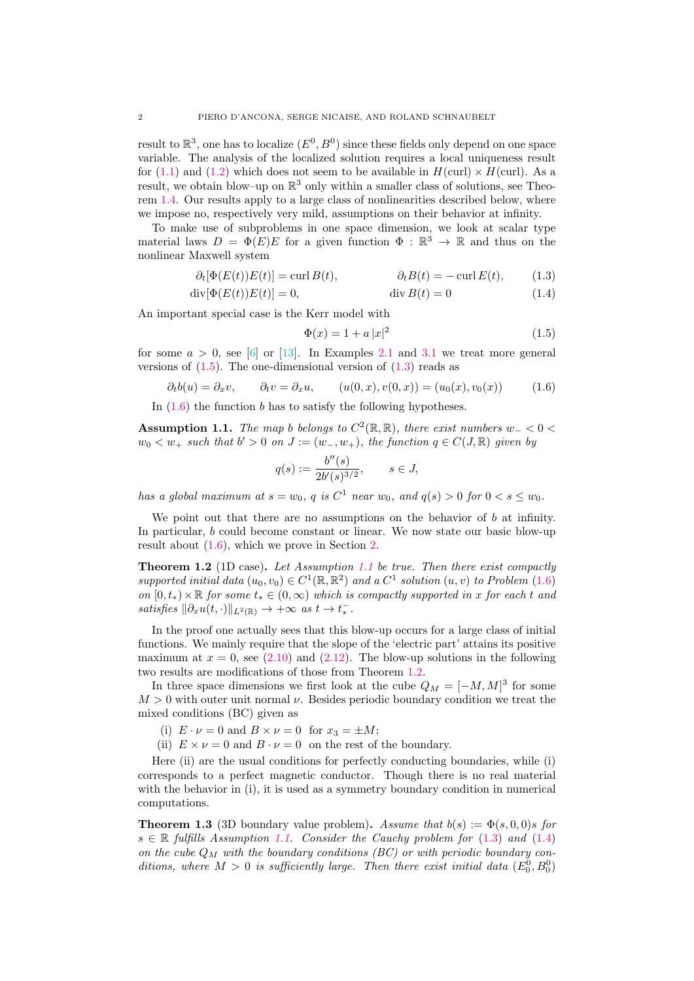result to  $\mathbb{R}^3$ , one has to localize  $(E^0, B^0)$  since these fields only depend on one space variable. The analysis of the localized solution requires a local uniqueness result for [\(1.1\)](#page-0-0) and [\(1.2\)](#page-0-1) which does not seem to be available in  $H(\text{curl}) \times H(\text{curl})$ . As a result, we obtain blow–up on  $\mathbb{R}^3$  only within a smaller class of solutions, see Theorem [1.4.](#page-2-0) Our results apply to a large class of nonlinearities described below, where we impose no, respectively very mild, assumptions on their behavior at infinity.

To make use of subproblems in one space dimension, we look at scalar type material laws  $D = \Phi(E)E$  for a given function  $\Phi : \mathbb{R}^3 \to \mathbb{R}$  and thus on the nonlinear Maxwell system

$$
\partial_t[\Phi(E(t))E(t)] = \operatorname{curl} B(t), \qquad \partial_t B(t) = -\operatorname{curl} E(t), \qquad (1.3)
$$

$$
\operatorname{div}[\Phi(E(t))E(t)] = 0, \qquad \qquad \operatorname{div} B(t) = 0 \tag{1.4}
$$

An important special case is the Kerr model with

<span id="page-1-5"></span><span id="page-1-1"></span><span id="page-1-0"></span>
$$
\Phi(x) = 1 + a|x|^2 \tag{1.5}
$$

for some  $a > 0$ , see [\[6\]](#page-7-8) or [\[13\]](#page-7-9). In Examples [2.1](#page-5-0) and [3.1](#page-7-15) we treat more general versions of  $(1.5)$ . The one-dimensional version of  $(1.3)$  reads as

<span id="page-1-2"></span>
$$
\partial_t b(u) = \partial_x v, \qquad \partial_t v = \partial_x u, \qquad (u(0, x), v(0, x)) = (u_0(x), v_0(x)) \tag{1.6}
$$

In  $(1.6)$  the function b has to satisfy the following hypotheses.

<span id="page-1-3"></span>**Assumption 1.1.** The map b belongs to  $C^2(\mathbb{R}, \mathbb{R})$ , there exist numbers w\_ < 0 <  $w_0 < w_+$  such that  $b' > 0$  on  $J := (w_-, w_+),$  the function  $q \in C(J, \mathbb{R})$  given by

$$
q(s) := \frac{b''(s)}{2b'(s)^{3/2}}, \qquad s \in J,
$$

has a global maximum at  $s = w_0$ , q is  $C^1$  near  $w_0$ , and  $q(s) > 0$  for  $0 < s \leq w_0$ .

We point out that there are no assumptions on the behavior of  $b$  at infinity. In particular, b could become constant or linear. We now state our basic blow-up result about [\(1.6\)](#page-1-2), which we prove in Section [2.](#page-3-0)

<span id="page-1-4"></span>Theorem 1.2 (1D case). Let Assumption [1.1](#page-1-3) be true. Then there exist compactly supported initial data  $(u_0, v_0) \in C^1(\mathbb{R}, \mathbb{R}^2)$  and a  $C^1$  solution  $(u, v)$  to Problem  $(1.6)$ on  $[0, t_*) \times \mathbb{R}$  for some  $t_* \in (0, \infty)$  which is compactly supported in x for each t and satisfies  $\|\partial_x u(t, \cdot)\|_{L^2(\mathbb{R})} \to +\infty$  as  $t \to t_*^-$ .

In the proof one actually sees that this blow-up occurs for a large class of initial functions. We mainly require that the slope of the 'electric part' attains its positive maximum at  $x = 0$ , see [\(2.10\)](#page-4-0) and [\(2.12\)](#page-5-1). The blow-up solutions in the following two results are modifications of those from Theorem [1.2.](#page-1-4)

In three space dimensions we first look at the cube  $Q_M = [-M, M]^3$  for some  $M > 0$  with outer unit normal  $\nu$ . Besides periodic boundary condition we treat the mixed conditions (BC) given as

(i)  $E \cdot \nu = 0$  and  $B \times \nu = 0$  for  $x_3 = \pm M$ ;

(ii)  $E \times \nu = 0$  and  $B \cdot \nu = 0$  on the rest of the boundary.

Here (ii) are the usual conditions for perfectly conducting boundaries, while (i) corresponds to a perfect magnetic conductor. Though there is no real material with the behavior in (i), it is used as a symmetry boundary condition in numerical computations.

<span id="page-1-6"></span>**Theorem 1.3** (3D boundary value problem). Assume that  $b(s) := \Phi(s, 0, 0)$  for  $s \in \mathbb{R}$  fulfills Assumption [1.1.](#page-1-3) Consider the Cauchy problem for [\(1.3\)](#page-1-1) and [\(1.4\)](#page-1-5) on the cube  $Q_M$  with the boundary conditions (BC) or with periodic boundary conditions, where  $M > 0$  is sufficiently large. Then there exist initial data  $(E_0^0, B_0^0)$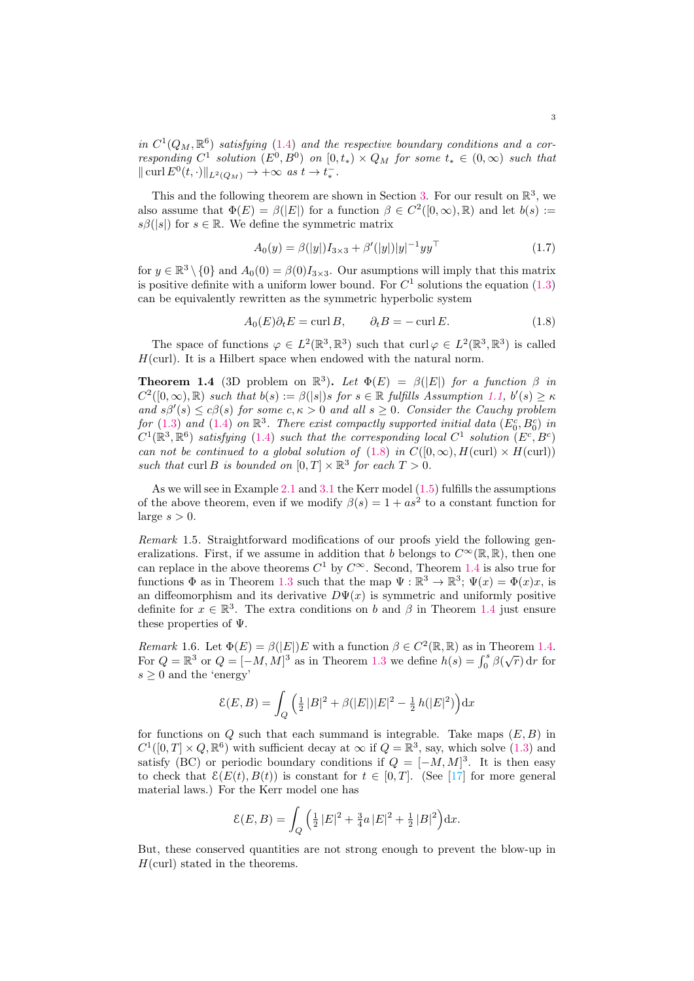in  $C^1(Q_M, \mathbb{R}^6)$  satisfying [\(1.4\)](#page-1-5) and the respective boundary conditions and a corresponding  $C^1$  solution  $(E^0, B^0)$  on  $[0, t_*) \times Q_M$  for some  $t_* \in (0, \infty)$  such that  $\|\operatorname{curl} E^{0}(t, \cdot)\|_{L^{2}(Q_{M})} \to +\infty \text{ as } t \to t_{*}^{-}.$ 

This and the following theorem are shown in Section [3.](#page-5-2) For our result on  $\mathbb{R}^3$ , we also assume that  $\Phi(E) = \beta(|E|)$  for a function  $\beta \in C^2([0,\infty),\mathbb{R})$  and let  $b(s) :=$  $s\beta(|s|)$  for  $s \in \mathbb{R}$ . We define the symmetric matrix

<span id="page-2-2"></span>
$$
A_0(y) = \beta(|y|)I_{3\times 3} + \beta'(|y|)|y|^{-1}yy^{\top}
$$
\n(1.7)

for  $y \in \mathbb{R}^3 \setminus \{0\}$  and  $A_0(0) = \beta(0)I_{3\times 3}$ . Our asumptions will imply that this matrix is positive definite with a uniform lower bound. For  $C<sup>1</sup>$  solutions the equation  $(1.3)$ can be equivalently rewritten as the symmetric hyperbolic system

<span id="page-2-1"></span>
$$
A_0(E)\partial_t E = \operatorname{curl} B, \qquad \partial_t B = -\operatorname{curl} E. \tag{1.8}
$$

The space of functions  $\varphi \in L^2(\mathbb{R}^3, \mathbb{R}^3)$  such that  $\text{curl } \varphi \in L^2(\mathbb{R}^3, \mathbb{R}^3)$  is called  $H(\text{curl})$ . It is a Hilbert space when endowed with the natural norm.

<span id="page-2-0"></span>**Theorem 1.4** (3D problem on  $\mathbb{R}^3$ ). Let  $\Phi(E) = \beta(|E|)$  for a function  $\beta$  in  $C^2([0,\infty),\mathbb{R})$  such that  $b(s) := \beta(|s|)$ s for  $s \in \mathbb{R}$  fulfills Assumption [1.1,](#page-1-3)  $b'(s) \geq \kappa$ and  $s\beta'(s) \leq c\beta(s)$  for some  $c, \kappa > 0$  and all  $s \geq 0$ . Consider the Cauchy problem for [\(1.3\)](#page-1-1) and [\(1.4\)](#page-1-5) on  $\mathbb{R}^3$ . There exist compactly supported initial data  $(E_0^c, B_0^c)$  in  $C^1(\mathbb{R}^3, \mathbb{R}^6)$  satisfying [\(1.4\)](#page-1-5) such that the corresponding local  $C^1$  solution  $(E^c, B^c)$ can not be continued to a global solution of [\(1.8\)](#page-2-1) in  $C([0,\infty), H(\text{curl}) \times H(\text{curl}))$ such that curl B is bounded on  $[0, T] \times \mathbb{R}^3$  for each  $T > 0$ .

As we will see in Example [2.1](#page-5-0) and [3.1](#page-7-15) the Kerr model [\(1.5\)](#page-1-0) fulfills the assumptions of the above theorem, even if we modify  $\beta(s) = 1 + as^2$  to a constant function for large  $s > 0$ .

Remark 1.5. Straightforward modifications of our proofs yield the following generalizations. First, if we assume in addition that b belongs to  $C^{\infty}(\mathbb{R}, \mathbb{R})$ , then one can replace in the above theorems  $C^1$  by  $C^{\infty}$ . Second, Theorem [1.4](#page-2-0) is also true for functions  $\Phi$  as in Theorem [1.3](#page-1-6) such that the map  $\Psi : \mathbb{R}^3 \to \mathbb{R}^3$ ;  $\Psi(x) = \Phi(x)x$ , is an diffeomorphism and its derivative  $D\Psi(x)$  is symmetric and uniformly positive definite for  $x \in \mathbb{R}^3$ . The extra conditions on b and  $\beta$  in Theorem [1.4](#page-2-0) just ensure these properties of Ψ.

Remark 1.6. Let  $\Phi(E) = \beta(|E|)E$  with a function  $\beta \in C^2(\mathbb{R}, \mathbb{R})$  as in Theorem [1.4.](#page-2-0) For  $Q = \mathbb{R}^3$  or  $Q = [-M, M]^3$  as in Theorem [1.3](#page-1-6) we define  $h(s) = \int_0^s \beta(\sqrt{r}) dr$  for  $s \geq 0$  and the 'energy'

$$
\mathcal{E}(E,B) = \int_{Q} \left( \frac{1}{2} |B|^2 + \beta(|E|) |E|^2 - \frac{1}{2} h(|E|^2) \right) dx
$$

for functions on Q such that each summand is integrable. Take maps  $(E, B)$  in  $C^1([0,T] \times Q, \mathbb{R}^6)$  with sufficient decay at  $\infty$  if  $Q = \mathbb{R}^3$ , say, which solve  $(1.3)$  and satisfy (BC) or periodic boundary conditions if  $Q = [-M, M]^3$ . It is then easy to check that  $\mathcal{E}(E(t), B(t))$  is constant for  $t \in [0, T]$ . (See [\[17\]](#page-8-0) for more general material laws.) For the Kerr model one has

$$
\mathcal{E}(E,B) = \int_Q \left(\frac{1}{2}|E|^2 + \frac{3}{4}a|E|^2 + \frac{1}{2}|B|^2\right) dx.
$$

But, these conserved quantities are not strong enough to prevent the blow-up in  $H(\text{curl})$  stated in the theorems.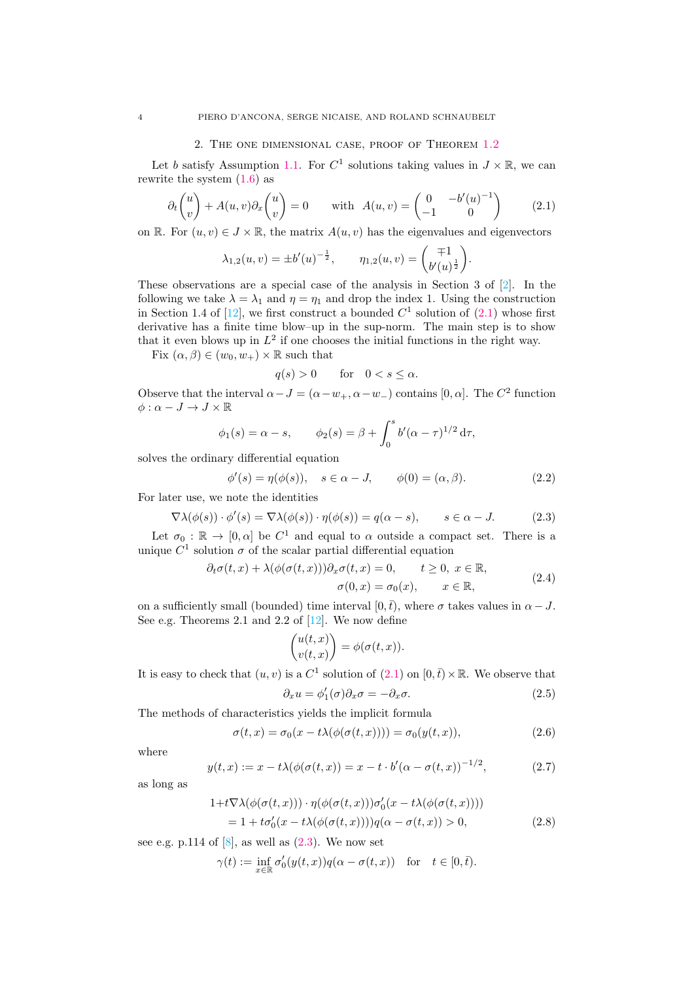### 2. The one dimensional case, proof of Theorem [1.2](#page-1-4)

<span id="page-3-0"></span>Let b satisfy Assumption [1.1.](#page-1-3) For  $C^1$  solutions taking values in  $J \times \mathbb{R}$ , we can rewrite the system  $(1.6)$  as

<span id="page-3-1"></span>
$$
\partial_t \begin{pmatrix} u \\ v \end{pmatrix} + A(u, v) \partial_x \begin{pmatrix} u \\ v \end{pmatrix} = 0 \quad \text{with } A(u, v) = \begin{pmatrix} 0 & -b'(u)^{-1} \\ -1 & 0 \end{pmatrix} \tag{2.1}
$$

on R. For  $(u, v) \in J \times \mathbb{R}$ , the matrix  $A(u, v)$  has the eigenvalues and eigenvectors

$$
\lambda_{1,2}(u,v) = \pm b'(u)^{-\frac{1}{2}}, \qquad \eta_{1,2}(u,v) = \begin{pmatrix} \mp 1 \\ b'(u)^{\frac{1}{2}} \end{pmatrix}.
$$

These observations are a special case of the analysis in Section 3 of [\[2\]](#page-7-14). In the following we take  $\lambda = \lambda_1$  and  $\eta = \eta_1$  and drop the index 1. Using the construction in Section 1.4 of [\[12\]](#page-7-1), we first construct a bounded  $C<sup>1</sup>$  solution of [\(2.1\)](#page-3-1) whose first derivative has a finite time blow–up in the sup-norm. The main step is to show that it even blows up in  $L^2$  if one chooses the initial functions in the right way.

Fix  $(\alpha, \beta) \in (w_0, w_+) \times \mathbb{R}$  such that

$$
q(s) > 0 \quad \text{for} \quad 0 < s \le \alpha.
$$

Observe that the interval  $\alpha - J = (\alpha - w_+, \alpha - w_-)$  contains [0,  $\alpha$ ]. The  $C^2$  function  $\phi: \alpha - J \to J \times \mathbb{R}$ 

$$
\phi_1(s) = \alpha - s,
$$
\n $\phi_2(s) = \beta + \int_0^s b'(\alpha - \tau)^{1/2} d\tau,$ 

solves the ordinary differential equation

$$
\phi'(s) = \eta(\phi(s)), \quad s \in \alpha - J, \qquad \phi(0) = (\alpha, \beta). \tag{2.2}
$$

For later use, we note the identities

<span id="page-3-2"></span>
$$
\nabla \lambda(\phi(s)) \cdot \phi'(s) = \nabla \lambda(\phi(s)) \cdot \eta(\phi(s)) = q(\alpha - s), \qquad s \in \alpha - J. \tag{2.3}
$$

Let  $\sigma_0 : \mathbb{R} \to [0, \alpha]$  be  $C^1$  and equal to  $\alpha$  outside a compact set. There is a unique  $C^1$  solution  $\sigma$  of the scalar partial differential equation

$$
\partial_t \sigma(t, x) + \lambda(\phi(\sigma(t, x))) \partial_x \sigma(t, x) = 0, \qquad t \ge 0, \ x \in \mathbb{R},
$$
  

$$
\sigma(0, x) = \sigma_0(x), \qquad x \in \mathbb{R},
$$
 (2.4)

on a sufficiently small (bounded) time interval [0, $\bar{t}$ ), where  $\sigma$  takes values in  $\alpha - J$ . See e.g. Theorems 2.1 and 2.2 of [\[12\]](#page-7-1). We now define

$$
\begin{pmatrix} u(t,x) \\ v(t,x) \end{pmatrix} = \phi(\sigma(t,x)).
$$

It is easy to check that  $(u, v)$  is a  $C^1$  solution of  $(2.1)$  on  $[0, \bar{t}) \times \mathbb{R}$ . We observe that

<span id="page-3-6"></span><span id="page-3-3"></span>
$$
\partial_x u = \phi_1'(\sigma)\partial_x \sigma = -\partial_x \sigma.
$$
\n(2.5)

The methods of characteristics yields the implicit formula

<span id="page-3-4"></span>
$$
\sigma(t,x) = \sigma_0(x - t\lambda(\phi(\sigma(t,x)))) = \sigma_0(y(t,x)),
$$
\n(2.6)

where

<span id="page-3-5"></span>
$$
y(t,x) := x - t\lambda(\phi(\sigma(t,x))) = x - t \cdot b'(\alpha - \sigma(t,x))^{-1/2},
$$
 (2.7)

as long as

$$
1+t\nabla\lambda(\phi(\sigma(t,x))) \cdot \eta(\phi(\sigma(t,x)))\sigma'_0(x-t\lambda(\phi(\sigma(t,x))))= 1+t\sigma'_0(x-t\lambda(\phi(\sigma(t,x))))q(\alpha-\sigma(t,x)) > 0,
$$
(2.8)

see e.g. p.114 of  $[8]$ , as well as  $(2.3)$ . We now set

$$
\gamma(t) := \inf_{x \in \mathbb{R}} \sigma'_0(y(t, x)) q(\alpha - \sigma(t, x)) \quad \text{for} \quad t \in [0, \overline{t}).
$$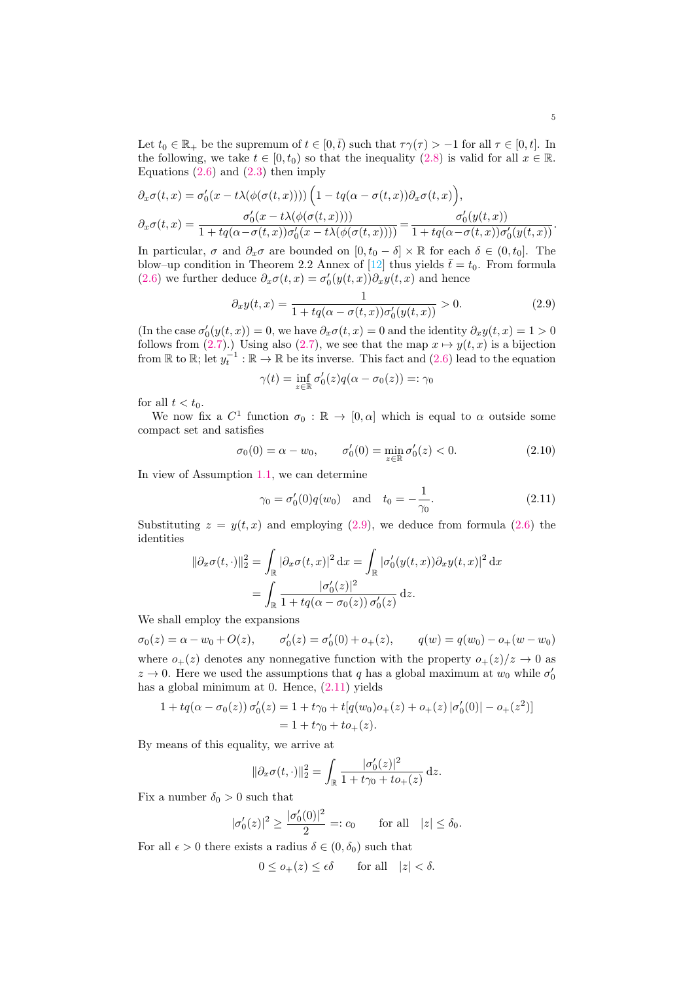Let  $t_0 \in \mathbb{R}_+$  be the supremum of  $t \in [0,\bar{t})$  such that  $\tau \gamma(\tau) > -1$  for all  $\tau \in [0,t]$ . In the following, we take  $t \in [0, t_0)$  so that the inequality  $(2.8)$  is valid for all  $x \in \mathbb{R}$ . Equations  $(2.6)$  and  $(2.3)$  then imply

$$
\partial_x \sigma(t,x) = \sigma'_0(x - t\lambda(\phi(\sigma(t,x)))) \left( 1 - tq(\alpha - \sigma(t,x)) \partial_x \sigma(t,x) \right),
$$
  

$$
\partial_x \sigma(t,x) = \frac{\sigma'_0(x - t\lambda(\phi(\sigma(t,x))))}{1 + tq(\alpha - \sigma(t,x))\sigma'_0(x - t\lambda(\phi(\sigma(t,x))))} = \frac{\sigma'_0(y(t,x))}{1 + tq(\alpha - \sigma(t,x))\sigma'_0(y(t,x))}.
$$

In particular,  $\sigma$  and  $\partial_x \sigma$  are bounded on  $[0, t_0 - \delta] \times \mathbb{R}$  for each  $\delta \in (0, t_0]$ . The blow–up condition in Theorem 2.2 Annex of [\[12\]](#page-7-1) thus yields  $\bar{t} = t_0$ . From formula [\(2.6\)](#page-3-4) we further deduce  $\partial_x \sigma(t,x) = \sigma'_0(y(t,x))\partial_x y(t,x)$  and hence

<span id="page-4-1"></span>
$$
\partial_x y(t,x) = \frac{1}{1 + tq(\alpha - \sigma(t,x))\sigma'_0(y(t,x))} > 0.
$$
\n(2.9)

(In the case  $\sigma'_0(y(t,x)) = 0$ , we have  $\partial_x \sigma(t,x) = 0$  and the identity  $\partial_x y(t,x) = 1 > 0$ follows from [\(2.7\)](#page-3-5).) Using also (2.7), we see that the map  $x \mapsto y(t, x)$  is a bijection from  $\mathbb R$  to  $\mathbb R$ ; let  $y_t^{-1} : \mathbb R \to \mathbb R$  be its inverse. This fact and  $(2.6)$  lead to the equation

$$
\gamma(t) = \inf_{z \in \mathbb{R}} \sigma'_0(z) q(\alpha - \sigma_0(z)) =: \gamma_0
$$

for all  $t < t_0$ .

We now fix a  $C^1$  function  $\sigma_0 : \mathbb{R} \to [0, \alpha]$  which is equal to  $\alpha$  outside some compact set and satisfies

<span id="page-4-0"></span>
$$
\sigma_0(0) = \alpha - w_0, \qquad \sigma'_0(0) = \min_{z \in \mathbb{R}} \sigma'_0(z) < 0. \tag{2.10}
$$

In view of Assumption [1.1,](#page-1-3) we can determine

<span id="page-4-2"></span>
$$
\gamma_0 = \sigma'_0(0)q(w_0)
$$
 and  $t_0 = -\frac{1}{\gamma_0}$ . (2.11)

Substituting  $z = y(t, x)$  and employing [\(2.9\)](#page-4-1), we deduce from formula [\(2.6\)](#page-3-4) the identities

$$
\|\partial_x \sigma(t, \cdot)\|_2^2 = \int_{\mathbb{R}} |\partial_x \sigma(t, x)|^2 dx = \int_{\mathbb{R}} |\sigma'_0(y(t, x)) \partial_x y(t, x)|^2 dx
$$

$$
= \int_{\mathbb{R}} \frac{|\sigma'_0(z)|^2}{1 + tq(\alpha - \sigma_0(z)) \sigma'_0(z)} dz.
$$

We shall employ the expansions

 $\sigma_0(z) = \alpha - w_0 + O(z),$  $Q'_0(z) = \sigma'_0(0) + o_+(z),$   $q(w) = q(w_0) - o_+(w - w_0)$ where  $o_{+}(z)$  denotes any nonnegative function with the property  $o_{+}(z)/z \rightarrow 0$  as  $z \to 0$ . Here we used the assumptions that q has a global maximum at  $w_0$  while  $\sigma'_0$ has a global minimum at 0. Hence, [\(2.11\)](#page-4-2) yields

$$
1 + tq(\alpha - \sigma_0(z)) \sigma'_0(z) = 1 + t\gamma_0 + t[q(w_0)o_+(z) + o_+(z) | \sigma'_0(0) | - o_+(z^2)]
$$
  
= 1 + t\gamma\_0 + t o\_+(z).

By means of this equality, we arrive at

$$
\|\partial_x \sigma(t, \cdot)\|_2^2 = \int_{\mathbb{R}} \frac{|\sigma'_0(z)|^2}{1 + t\gamma_0 + t\sigma_+(z)} \,dz.
$$

Fix a number  $\delta_0 > 0$  such that

$$
|\sigma'_0(z)|^2 \ge \frac{|\sigma'_0(0)|^2}{2} =: c_0
$$
 for all  $|z| \le \delta_0$ .

For all  $\epsilon > 0$  there exists a radius  $\delta \in (0, \delta_0)$  such that

$$
0 \le o_{+}(z) \le \epsilon \delta \qquad \text{for all} \quad |z| < \delta.
$$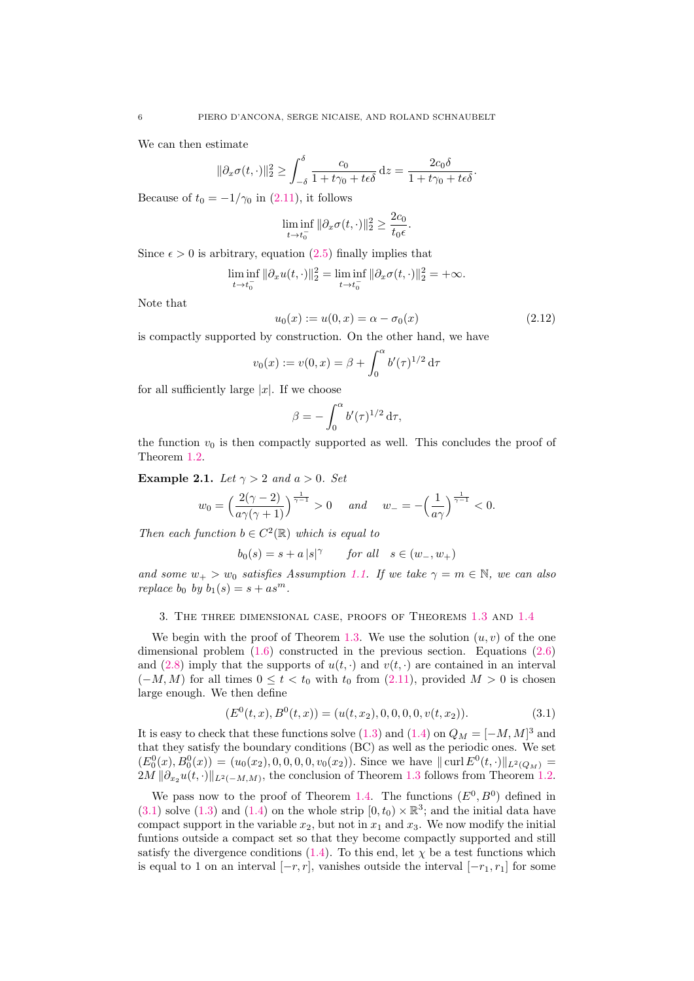We can then estimate

$$
\|\partial_x \sigma(t,\cdot)\|_2^2 \ge \int_{-\delta}^{\delta} \frac{c_0}{1+t\gamma_0+t\epsilon\delta} \, \mathrm{d}z = \frac{2c_0\delta}{1+t\gamma_0+t\epsilon\delta}.
$$

Because of  $t_0 = -1/\gamma_0$  in [\(2.11\)](#page-4-2), it follows

$$
\liminf_{t \to t_0^-} \|\partial_x \sigma(t, \cdot)\|_2^2 \ge \frac{2c_0}{t_0 \epsilon}.
$$

Since  $\epsilon > 0$  is arbitrary, equation [\(2.5\)](#page-3-6) finally implies that

$$
\liminf_{t \to t_0^-} \|\partial_x u(t, \cdot)\|_2^2 = \liminf_{t \to t_0^-} \|\partial_x \sigma(t, \cdot)\|_2^2 = +\infty.
$$

Note that

<span id="page-5-1"></span>
$$
u_0(x) := u(0, x) = \alpha - \sigma_0(x) \tag{2.12}
$$

is compactly supported by construction. On the other hand, we have

$$
v_0(x) := v(0, x) = \beta + \int_0^{\alpha} b'(\tau)^{1/2} d\tau
$$

for all sufficiently large  $|x|$ . If we choose

$$
\beta = -\int_0^\alpha b'(\tau)^{1/2} d\tau,
$$

the function  $v_0$  is then compactly supported as well. This concludes the proof of Theorem [1.2.](#page-1-4)

<span id="page-5-0"></span>Example 2.1. Let  $\gamma > 2$  and  $a > 0$ . Set

$$
w_0 = \left(\frac{2(\gamma - 2)}{a\gamma(\gamma + 1)}\right)^{\frac{1}{\gamma - 1}} > 0 \quad \text{and} \quad w_- = -\left(\frac{1}{a\gamma}\right)^{\frac{1}{\gamma - 1}} < 0.
$$

Then each function  $b \in C^2(\mathbb{R})$  which is equal to

$$
b_0(s)=s+a\,|s|^\gamma \qquad \textit{for all} \quad s\in(w_-,w_+)
$$

and some  $w_+ > w_0$  satisfies Assumption [1.1.](#page-1-3) If we take  $\gamma = m \in \mathbb{N}$ , we can also replace  $b_0$  by  $b_1(s) = s + as^m$ .

<span id="page-5-2"></span>3. The three dimensional case, proofs of Theorems [1.3](#page-1-6) and [1.4](#page-2-0)

We begin with the proof of Theorem [1.3.](#page-1-6) We use the solution  $(u, v)$  of the one dimensional problem [\(1.6\)](#page-1-2) constructed in the previous section. Equations [\(2.6\)](#page-3-4) and [\(2.8\)](#page-3-3) imply that the supports of  $u(t, \cdot)$  and  $v(t, \cdot)$  are contained in an interval  $(-M, M)$  for all times  $0 \le t < t_0$  with  $t_0$  from  $(2.11)$ , provided  $M > 0$  is chosen large enough. We then define

<span id="page-5-3"></span>
$$
(E0(t, x), B0(t, x)) = (u(t, x2), 0, 0, 0, 0, v(t, x2)).
$$
\n(3.1)

It is easy to check that these functions solve  $(1.3)$  and  $(1.4)$  on  $Q_M = [-M, M]^3$  and that they satisfy the boundary conditions (BC) as well as the periodic ones. We set  $(E_0^0(x), B_0^0(x)) = (u_0(x_2), 0, 0, 0, 0, v_0(x_2))$ . Since we have  $\|\text{curl } E^0(t, \cdot)\|_{L^2(Q_M)} =$  $2M \|\partial_{x_2} u(t, \cdot)\|_{L^2(-M,M)}$ , the conclusion of Theorem [1.3](#page-1-6) follows from Theorem [1.2.](#page-1-4)

We pass now to the proof of Theorem [1.4.](#page-2-0) The functions  $(E^0, B^0)$  defined in  $(3.1)$  solve  $(1.3)$  and  $(1.4)$  on the whole strip  $[0, t_0) \times \mathbb{R}^3$ ; and the initial data have compact support in the variable  $x_2$ , but not in  $x_1$  and  $x_3$ . We now modify the initial funtions outside a compact set so that they become compactly supported and still satisfy the divergence conditions [\(1.4\)](#page-1-5). To this end, let  $\chi$  be a test functions which is equal to 1 on an interval  $[-r, r]$ , vanishes outside the interval  $[-r_1, r_1]$  for some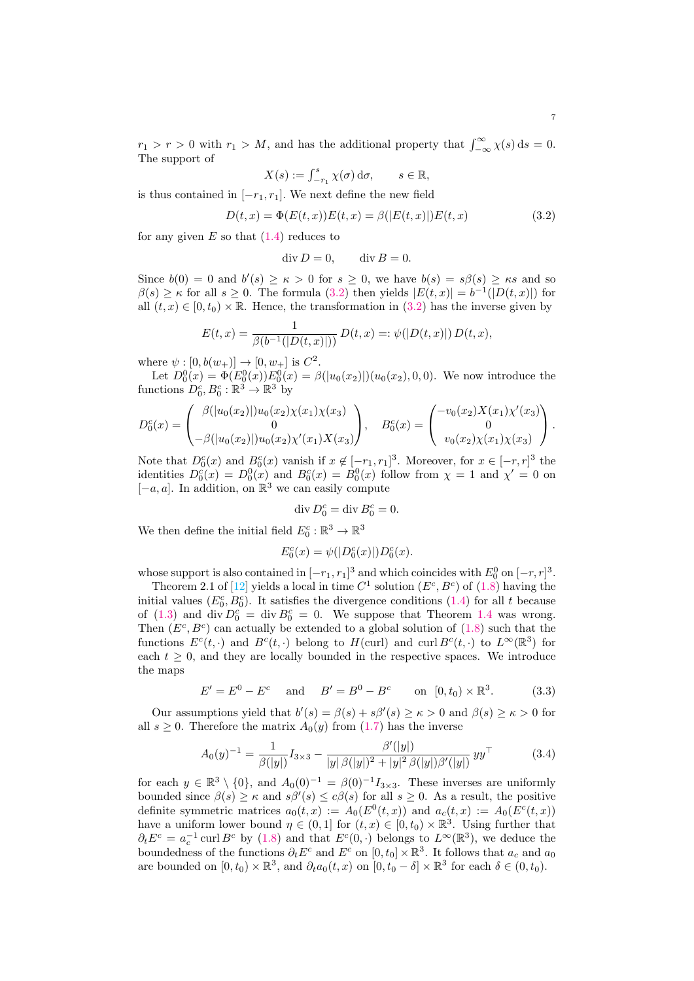$r_1 > r > 0$  with  $r_1 > M$ , and has the additional property that  $\int_{-\infty}^{\infty} \chi(s) ds = 0$ . The support of

$$
X(s) := \int_{-r_1}^s \chi(\sigma) \, \mathrm{d}\sigma, \qquad s \in \mathbb{R},
$$

is thus contained in  $[-r_1, r_1]$ . We next define the new field

<span id="page-6-0"></span>
$$
D(t,x) = \Phi(E(t,x))E(t,x) = \beta(|E(t,x)|)E(t,x)
$$
\n(3.2)

for any given  $E$  so that  $(1.4)$  reduces to

$$
\operatorname{div} D = 0, \qquad \operatorname{div} B = 0.
$$

Since  $b(0) = 0$  and  $b'(s) \ge \kappa > 0$  for  $s \ge 0$ , we have  $b(s) = s\beta(s) \ge \kappa s$  and so  $\beta(s) \geq \kappa$  for all  $s \geq 0$ . The formula [\(3.2\)](#page-6-0) then yields  $|E(t,x)| = b^{-1}(|D(t,x)|)$  for all  $(t, x) \in [0, t_0] \times \mathbb{R}$ . Hence, the transformation in [\(3.2\)](#page-6-0) has the inverse given by

$$
E(t, x) = \frac{1}{\beta(b^{-1}(|D(t, x)|))} D(t, x) =: \psi(|D(t, x)|) D(t, x),
$$

where  $\psi : [0, b(w_+)] \to [0, w_+]$  is  $C^2$ .

Let  $D_0^0(x) = \Phi(E_0^0(x))E_0^0(x) = \beta(|u_0(x_2)|)(u_0(x_2), 0, 0)$ . We now introduce the functions  $D_0^c, B_0^c : \mathbb{R}^3 \to \mathbb{R}^3$  by

$$
D_0^c(x) = \begin{pmatrix} \beta(|u_0(x_2)|)u_0(x_2)\chi(x_1)\chi(x_3) \\ 0 \\ -\beta(|u_0(x_2)|)u_0(x_2)\chi'(x_1)X(x_3) \end{pmatrix}, \quad B_0^c(x) = \begin{pmatrix} -v_0(x_2)X(x_1)\chi'(x_3) \\ 0 \\ v_0(x_2)\chi(x_1)\chi(x_3) \end{pmatrix}.
$$

Note that  $D_0^c(x)$  and  $B_0^c(x)$  vanish if  $x \notin [-r_1, r_1]^3$ . Moreover, for  $x \in [-r, r]^3$  the identities  $D_0^c(x) = D_0^0(x)$  and  $B_0^c(x) = B_0^0(x)$  follow from  $\chi = 1$  and  $\chi' = 0$  on  $[-a, a]$ . In addition, on  $\mathbb{R}^3$  we can easily compute

$$
\operatorname{div} D_0^c = \operatorname{div} B_0^c = 0.
$$

We then define the initial field  $E_0^c : \mathbb{R}^3 \to \mathbb{R}^3$ 

$$
E_0^c(x) = \psi(|D_0^c(x)|)D_0^c(x).
$$

whose support is also contained in  $[-r_1, r_1]^3$  and which coincides with  $E_0^0$  on  $[-r, r]^3$ .

Theorem 2.1 of [\[12\]](#page-7-1) yields a local in time  $C^1$  solution  $(E^c, B^c)$  of  $(1.8)$  having the initial values  $(E_0^c, B_0^c)$ . It satisfies the divergence conditions [\(1.4\)](#page-1-5) for all t because of [\(1.3\)](#page-1-1) and div  $D_0^c = \text{div } B_0^c = 0$ . We suppose that Theorem [1.4](#page-2-0) was wrong. Then  $(E^c, B^c)$  can actually be extended to a global solution of  $(1.8)$  such that the functions  $E^c(t, \cdot)$  and  $B^c(t, \cdot)$  belong to  $H$ (curl) and curl  $B^c(t, \cdot)$  to  $L^{\infty}(\mathbb{R}^3)$  for each  $t \geq 0$ , and they are locally bounded in the respective spaces. We introduce the maps

<span id="page-6-1"></span>
$$
E' = E^0 - E^c
$$
 and  $B' = B^0 - B^c$  on  $[0, t_0) \times \mathbb{R}^3$ . (3.3)

Our assumptions yield that  $b'(s) = \beta(s) + s\beta'(s) \geq \kappa > 0$  and  $\beta(s) \geq \kappa > 0$  for all  $s \geq 0$ . Therefore the matrix  $A_0(y)$  from [\(1.7\)](#page-2-2) has the inverse

$$
A_0(y)^{-1} = \frac{1}{\beta(|y|)} I_{3 \times 3} - \frac{\beta'(|y|)}{|y|\beta(|y|)^2 + |y|^2 \beta(|y|) \beta'(|y|)} y y^{\top}
$$
(3.4)

for each  $y \in \mathbb{R}^3 \setminus \{0\}$ , and  $A_0(0)^{-1} = \beta(0)^{-1} I_{3 \times 3}$ . These inverses are uniformly bounded since  $\beta(s) \geq \kappa$  and  $s\beta'(s) \leq c\beta(s)$  for all  $s \geq 0$ . As a result, the positive definite symmetric matrices  $a_0(t,x) := A_0(E^0(t,x))$  and  $a_c(t,x) := A_0(E^c(t,x))$ have a uniform lower bound  $\eta \in (0,1]$  for  $(t, x) \in [0, t_0) \times \mathbb{R}^3$ . Using further that  $\partial_t E^c = a_c^{-1}$  curl  $B^c$  by [\(1.8\)](#page-2-1) and that  $E^c(0, \cdot)$  belongs to  $L^{\infty}(\mathbb{R}^3)$ , we deduce the boundedness of the functions  $\partial_t E^c$  and  $E^c$  on  $[0, t_0] \times \mathbb{R}^3$ . It follows that  $a_c$  and  $a_0$ are bounded on  $[0, t_0) \times \mathbb{R}^3$ , and  $\partial_t a_0(t, x)$  on  $[0, t_0 - \delta] \times \mathbb{R}^3$  for each  $\delta \in (0, t_0)$ .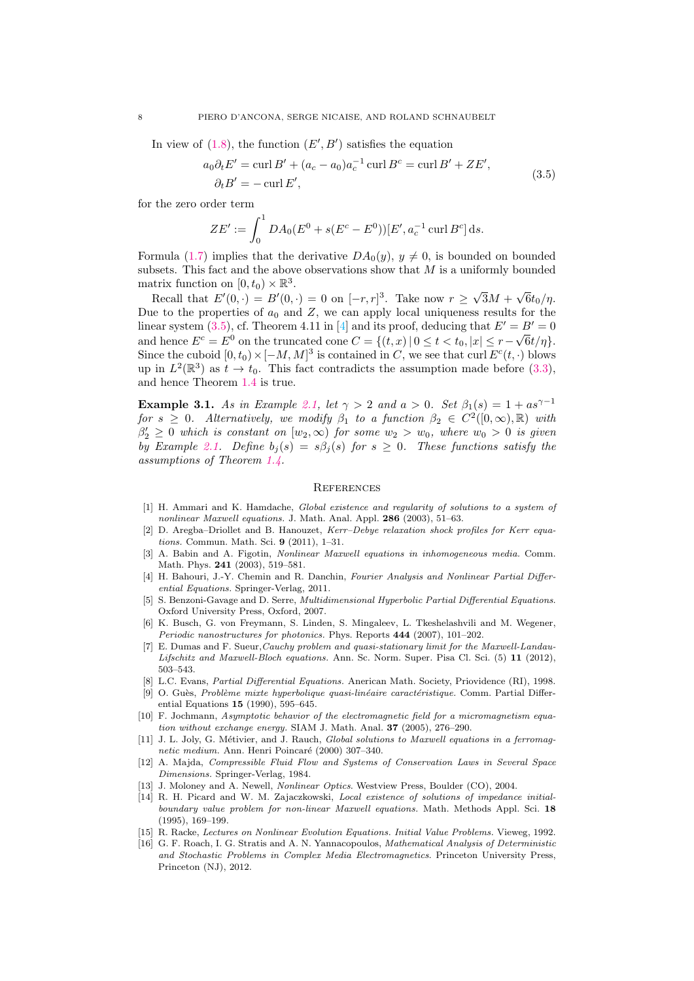<span id="page-7-17"></span>In view of  $(1.8)$ , the function  $(E', B')$  satisfies the equation

$$
a_0 \partial_t E' = \operatorname{curl} B' + (a_c - a_0) a_c^{-1} \operatorname{curl} B^c = \operatorname{curl} B' + Z E',
$$
  
\n
$$
\partial_t B' = -\operatorname{curl} E',
$$
\n(3.5)

for the zero order term

$$
ZE' := \int_0^1 DA_0(E^0 + s(E^c - E^0))[E', a_c^{-1} \operatorname{curl} B^c] \,ds.
$$

Formula [\(1.7\)](#page-2-2) implies that the derivative  $DA_0(y)$ ,  $y \neq 0$ , is bounded on bounded subsets. This fact and the above observations show that  $M$  is a uniformly bounded matrix function on  $[0, t_0) \times \mathbb{R}^3$ . √ √

Recall that  $E'(0, \cdot) = B'(0, \cdot) = 0$  on  $[-r, r]^3$ . Take now  $r \geq$  $3M +$  $6t_0/\eta.$ Due to the properties of  $a_0$  and  $Z$ , we can apply local uniqueness results for the linear system [\(3.5\)](#page-7-17), cf. Theorem 4.11 in [\[4\]](#page-7-10) and its proof, deducing that  $E' = B' = 0$ and hence  $E^c = E^0$  on the truncated cone  $C = \{(t, x) | 0 \le t < t_0, |x| \le r - \sqrt{6}t/\eta\}$ . Since the cuboid  $[0, t_0) \times [-M, M]^3$  is contained in C, we see that curl  $E^c(t, \cdot)$  blows up in  $L^2(\mathbb{R}^3)$  as  $t \to t_0$ . This fact contradicts the assumption made before [\(3.3\)](#page-6-1), and hence Theorem [1.4](#page-2-0) is true.

<span id="page-7-15"></span>Example 3.1. As in Example [2.1,](#page-5-0) let  $\gamma > 2$  and  $a > 0$ . Set  $\beta_1(s) = 1 + as^{\gamma-1}$ for  $s \geq 0$ . Alternatively, we modify  $\beta_1$  to a function  $\beta_2 \in C^2([0,\infty),\mathbb{R})$  with  $\beta'_2 \geq 0$  which is constant on  $[w_2, \infty)$  for some  $w_2 > w_0$ , where  $w_0 > 0$  is given by Example [2.1.](#page-5-0) Define  $b_j(s) = s\beta_j(s)$  for  $s \geq 0$ . These functions satisfy the assumptions of Theorem [1.4.](#page-2-0)

# **REFERENCES**

- <span id="page-7-4"></span>[1] H. Ammari and K. Hamdache, Global existence and regularity of solutions to a system of nonlinear Maxwell equations. J. Math. Anal. Appl. 286 (2003), 51–63.
- <span id="page-7-14"></span>[2] D. Aregba–Driollet and B. Hanouzet, Kerr–Debye relaxation shock profiles for Kerr equations. Commun. Math. Sci. 9 (2011), 1–31.
- <span id="page-7-2"></span>[3] A. Babin and A. Figotin, *Nonlinear Maxwell equations in inhomogeneous media*. Comm. Math. Phys. 241 (2003), 519–581.
- <span id="page-7-10"></span>[4] H. Bahouri, J.-Y. Chemin and R. Danchin, Fourier Analysis and Nonlinear Partial Differential Equations. Springer-Verlag, 2011.
- <span id="page-7-0"></span>[5] S. Benzoni-Gavage and D. Serre, Multidimensional Hyperbolic Partial Differential Equations. Oxford University Press, Oxford, 2007.
- <span id="page-7-8"></span>[6] K. Busch, G. von Freymann, S. Linden, S. Mingaleev, L. Tkeshelashvili and M. Wegener, Periodic nanostructures for photonics. Phys. Reports 444 (2007), 101–202.
- <span id="page-7-5"></span>[7] E. Dumas and F. Sueur,Cauchy problem and quasi-stationary limit for the Maxwell-Landau-Lifschitz and Maxwell-Bloch equations. Ann. Sc. Norm. Super. Pisa Cl. Sci. (5) 11 (2012), 503–543.
- <span id="page-7-16"></span>[8] L.C. Evans, Partial Differential Equations. Anerican Math. Society, Priovidence (RI), 1998.
- <span id="page-7-11"></span>[9] O. Guès, Problème mixte hyperbolique quasi-linéaire caractéristique. Comm. Partial Differential Equations 15 (1990), 595–645.
- <span id="page-7-6"></span>[10] F. Jochmann, Asymptotic behavior of the electromagnetic field for a micromagnetism equation without exchange energy. SIAM J. Math. Anal. 37 (2005), 276–290.
- <span id="page-7-7"></span>[11] J. L. Joly, G. Métivier, and J. Rauch, Global solutions to Maxwell equations in a ferromagnetic medium. Ann. Henri Poincaré (2000) 307-340.
- <span id="page-7-1"></span>[12] A. Majda, Compressible Fluid Flow and Systems of Conservation Laws in Several Space Dimensions. Springer-Verlag, 1984.
- <span id="page-7-9"></span>[13] J. Moloney and A. Newell, Nonlinear Optics. Westview Press, Boulder (CO), 2004.
- <span id="page-7-12"></span>[14] R. H. Picard and W. M. Zajaczkowski, Local existence of solutions of impedance initialboundary value problem for non-linear Maxwell equations. Math. Methods Appl. Sci. 18 (1995), 169–199.
- <span id="page-7-13"></span>[15] R. Racke, Lectures on Nonlinear Evolution Equations. Initial Value Problems. Vieweg, 1992.
- <span id="page-7-3"></span>[16] G. F. Roach, I. G. Stratis and A. N. Yannacopoulos, *Mathematical Analysis of Deterministic* and Stochastic Problems in Complex Media Electromagnetics. Princeton University Press, Princeton (NJ), 2012.